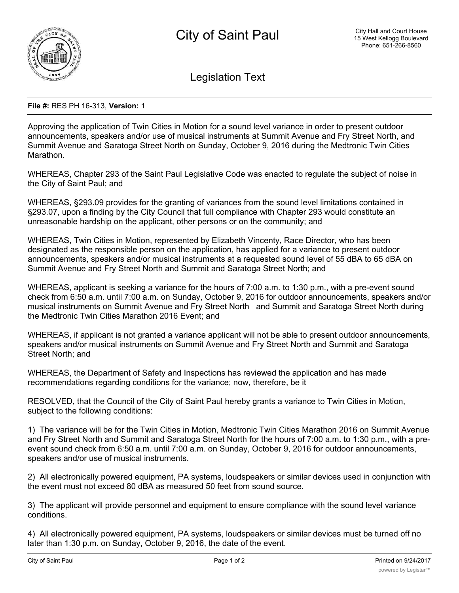

Legislation Text

## **File #:** RES PH 16-313, **Version:** 1

Approving the application of Twin Cities in Motion for a sound level variance in order to present outdoor announcements, speakers and/or use of musical instruments at Summit Avenue and Fry Street North, and Summit Avenue and Saratoga Street North on Sunday, October 9, 2016 during the Medtronic Twin Cities Marathon.

WHEREAS, Chapter 293 of the Saint Paul Legislative Code was enacted to regulate the subject of noise in the City of Saint Paul; and

WHEREAS, §293.09 provides for the granting of variances from the sound level limitations contained in §293.07, upon a finding by the City Council that full compliance with Chapter 293 would constitute an unreasonable hardship on the applicant, other persons or on the community; and

WHEREAS, Twin Cities in Motion, represented by Elizabeth Vincenty, Race Director, who has been designated as the responsible person on the application, has applied for a variance to present outdoor announcements, speakers and/or musical instruments at a requested sound level of 55 dBA to 65 dBA on Summit Avenue and Fry Street North and Summit and Saratoga Street North; and

WHEREAS, applicant is seeking a variance for the hours of 7:00 a.m. to 1:30 p.m., with a pre-event sound check from 6:50 a.m. until 7:00 a.m. on Sunday, October 9, 2016 for outdoor announcements, speakers and/or musical instruments on Summit Avenue and Fry Street North and Summit and Saratoga Street North during the Medtronic Twin Cities Marathon 2016 Event; and

WHEREAS, if applicant is not granted a variance applicant will not be able to present outdoor announcements, speakers and/or musical instruments on Summit Avenue and Fry Street North and Summit and Saratoga Street North; and

WHEREAS, the Department of Safety and Inspections has reviewed the application and has made recommendations regarding conditions for the variance; now, therefore, be it

RESOLVED, that the Council of the City of Saint Paul hereby grants a variance to Twin Cities in Motion, subject to the following conditions:

1) The variance will be for the Twin Cities in Motion, Medtronic Twin Cities Marathon 2016 on Summit Avenue and Fry Street North and Summit and Saratoga Street North for the hours of 7:00 a.m. to 1:30 p.m., with a preevent sound check from 6:50 a.m. until 7:00 a.m. on Sunday, October 9, 2016 for outdoor announcements, speakers and/or use of musical instruments.

2) All electronically powered equipment, PA systems, loudspeakers or similar devices used in conjunction with the event must not exceed 80 dBA as measured 50 feet from sound source.

3) The applicant will provide personnel and equipment to ensure compliance with the sound level variance conditions.

4) All electronically powered equipment, PA systems, loudspeakers or similar devices must be turned off no later than 1:30 p.m. on Sunday, October 9, 2016, the date of the event.